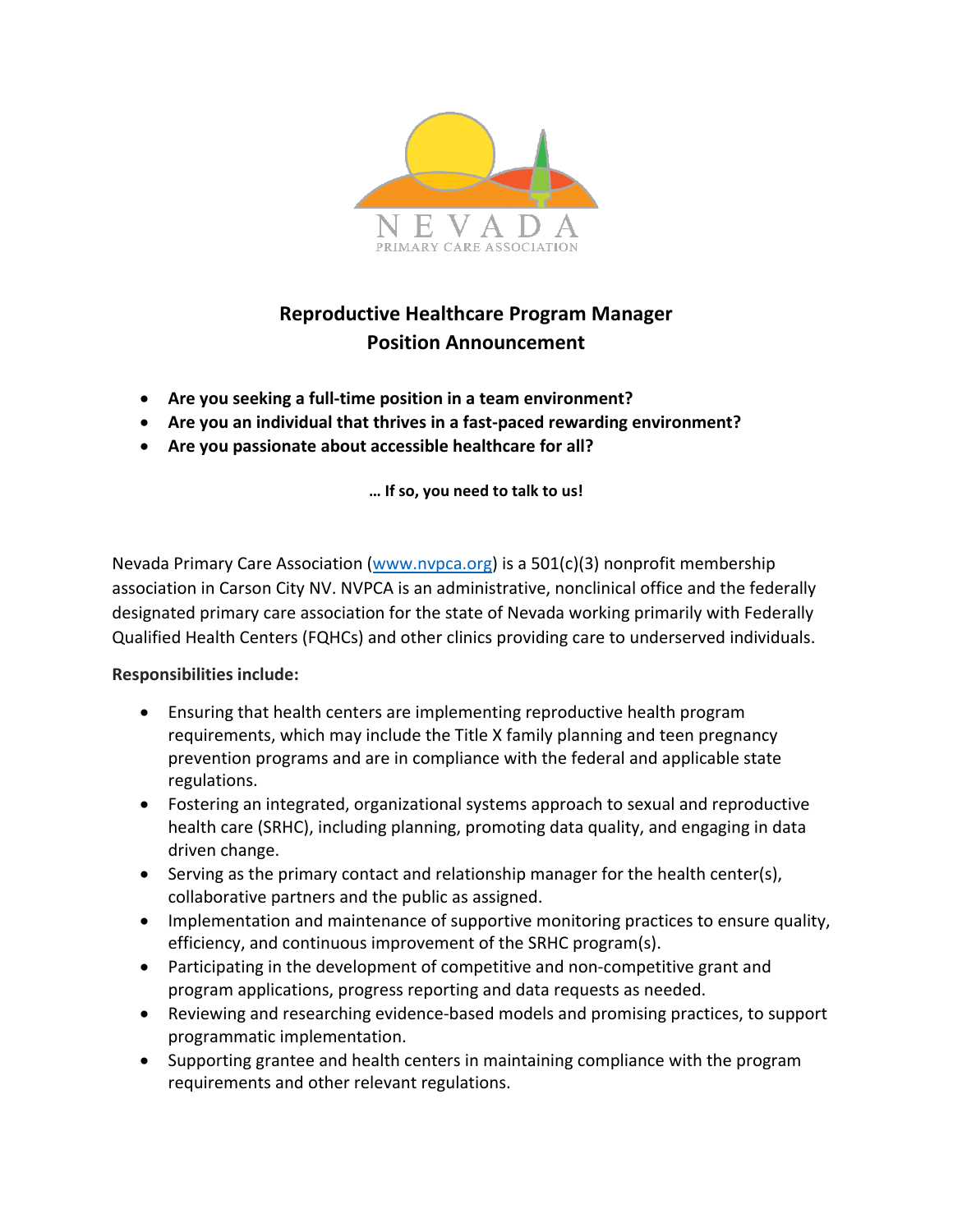

## **Reproductive Healthcare Program Manager Position Announcement**

- **Are you seeking a full-time position in a team environment?**
- **Are you an individual that thrives in a fast-paced rewarding environment?**
- **Are you passionate about accessible healthcare for all?**

**… If so, you need to talk to us!**

Nevada Primary Care Association [\(www.nvpca.org\)](http://www.nvpca.org/) is a 501(c)(3) nonprofit membership association in Carson City NV. NVPCA is an administrative, nonclinical office and the federally designated primary care association for the state of Nevada working primarily with Federally Qualified Health Centers (FQHCs) and other clinics providing care to underserved individuals.

## **Responsibilities include:**

- Ensuring that health centers are implementing reproductive health program requirements, which may include the Title X family planning and teen pregnancy prevention programs and are in compliance with the federal and applicable state regulations.
- Fostering an integrated, organizational systems approach to sexual and reproductive health care (SRHC), including planning, promoting data quality, and engaging in data driven change.
- Serving as the primary contact and relationship manager for the health center(s), collaborative partners and the public as assigned.
- Implementation and maintenance of supportive monitoring practices to ensure quality, efficiency, and continuous improvement of the SRHC program(s).
- Participating in the development of competitive and non-competitive grant and program applications, progress reporting and data requests as needed.
- Reviewing and researching evidence-based models and promising practices, to support programmatic implementation.
- Supporting grantee and health centers in maintaining compliance with the program requirements and other relevant regulations.